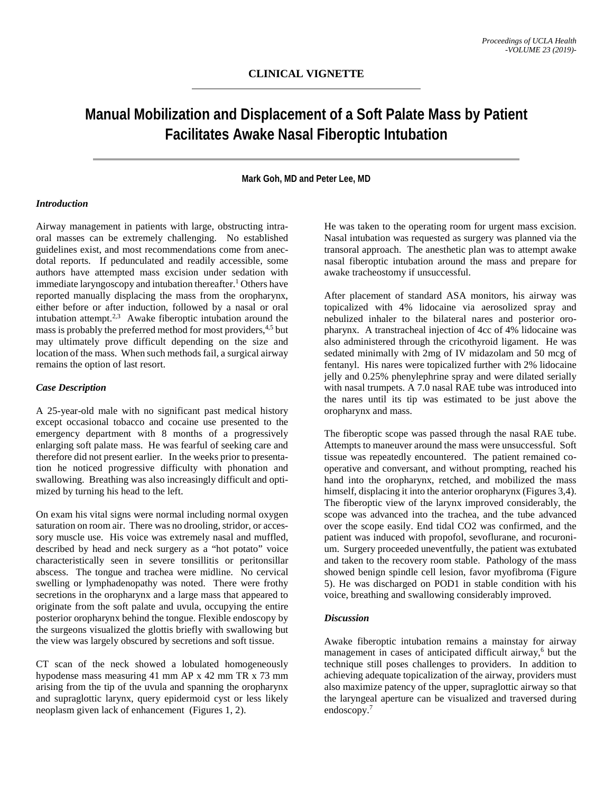# **Manual Mobilization and Displacement of a Soft Palate Mass by Patient Facilitates Awake Nasal Fiberoptic Intubation**

## **Mark Goh, MD and Peter Lee, MD**

# *Introduction*

Airway management in patients with large, obstructing intraoral masses can be extremely challenging. No established guidelines exist, and most recommendations come from anecdotal reports. If pedunculated and readily accessible, some authors have attempted mass excision under sedation with immediate laryngoscopy and intubation thereafter.<sup>1</sup> Others have reported manually displacing the mass from the oropharynx, either before or after induction, followed by a nasal or oral intubation attempt. $2,3$  Awake fiberoptic intubation around the mass is probably the preferred method for most providers,<sup>4,5</sup> but may ultimately prove difficult depending on the size and location of the mass. When such methods fail, a surgical airway remains the option of last resort.

#### *Case Description*

A 25-year-old male with no significant past medical history except occasional tobacco and cocaine use presented to the emergency department with 8 months of a progressively enlarging soft palate mass. He was fearful of seeking care and therefore did not present earlier. In the weeks prior to presentation he noticed progressive difficulty with phonation and swallowing. Breathing was also increasingly difficult and optimized by turning his head to the left.

On exam his vital signs were normal including normal oxygen saturation on room air. There was no drooling, stridor, or accessory muscle use. His voice was extremely nasal and muffled, described by head and neck surgery as a "hot potato" voice characteristically seen in severe tonsillitis or peritonsillar abscess. The tongue and trachea were midline. No cervical swelling or lymphadenopathy was noted. There were frothy secretions in the oropharynx and a large mass that appeared to originate from the soft palate and uvula, occupying the entire posterior oropharynx behind the tongue. Flexible endoscopy by the surgeons visualized the glottis briefly with swallowing but the view was largely obscured by secretions and soft tissue.

CT scan of the neck showed a lobulated homogeneously hypodense mass measuring 41 mm AP x 42 mm TR x 73 mm arising from the tip of the uvula and spanning the oropharynx and supraglottic larynx, query epidermoid cyst or less likely neoplasm given lack of enhancement (Figures 1, 2).

He was taken to the operating room for urgent mass excision. Nasal intubation was requested as surgery was planned via the transoral approach. The anesthetic plan was to attempt awake nasal fiberoptic intubation around the mass and prepare for awake tracheostomy if unsuccessful.

After placement of standard ASA monitors, his airway was topicalized with 4% lidocaine via aerosolized spray and nebulized inhaler to the bilateral nares and posterior oropharynx. A transtracheal injection of 4cc of 4% lidocaine was also administered through the cricothyroid ligament. He was sedated minimally with 2mg of IV midazolam and 50 mcg of fentanyl. His nares were topicalized further with 2% lidocaine jelly and 0.25% phenylephrine spray and were dilated serially with nasal trumpets. A 7.0 nasal RAE tube was introduced into the nares until its tip was estimated to be just above the oropharynx and mass.

The fiberoptic scope was passed through the nasal RAE tube. Attempts to maneuver around the mass were unsuccessful. Soft tissue was repeatedly encountered. The patient remained cooperative and conversant, and without prompting, reached his hand into the oropharynx, retched, and mobilized the mass himself, displacing it into the anterior oropharynx (Figures 3,4). The fiberoptic view of the larynx improved considerably, the scope was advanced into the trachea, and the tube advanced over the scope easily. End tidal CO2 was confirmed, and the patient was induced with propofol, sevoflurane, and rocuronium. Surgery proceeded uneventfully, the patient was extubated and taken to the recovery room stable. Pathology of the mass showed benign spindle cell lesion, favor myofibroma (Figure 5). He was discharged on POD1 in stable condition with his voice, breathing and swallowing considerably improved.

#### *Discussion*

Awake fiberoptic intubation remains a mainstay for airway management in cases of anticipated difficult airway, $<sup>6</sup>$  but the</sup> technique still poses challenges to providers. In addition to achieving adequate topicalization of the airway, providers must also maximize patency of the upper, supraglottic airway so that the laryngeal aperture can be visualized and traversed during endoscopy.7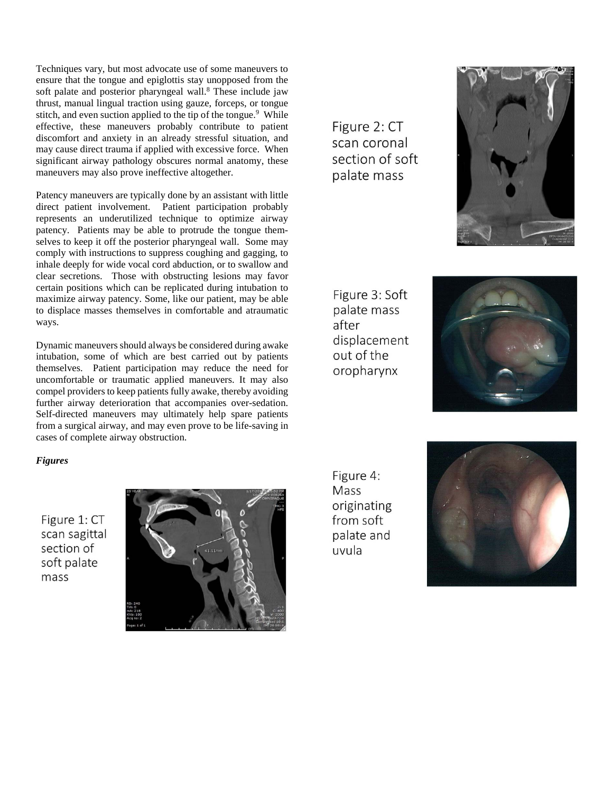Techniques vary, but most advocate use of some maneuvers to ensure that the tongue and epiglottis stay unopposed from the soft palate and posterior pharyngeal wall.<sup>8</sup> These include jaw thrust, manual lingual traction using gauze, forceps, or tongue stitch, and even suction applied to the tip of the tongue.<sup>9</sup> While effective, these maneuvers probably contribute to patient discomfort and anxiety in an already stressful situation, and may cause direct trauma if applied with excessive force. When significant airway pathology obscures normal anatomy, these maneuvers may also prove ineffective altogether.

Patency maneuvers are typically done by an assistant with little direct patient involvement. Patient participation probably represents an underutilized technique to optimize airway patency. Patients may be able to protrude the tongue themselves to keep it off the posterior pharyngeal wall. Some may comply with instructions to suppress coughing and gagging, to inhale deeply for wide vocal cord abduction, or to swallow and clear secretions. Those with obstructing lesions may favor certain positions which can be replicated during intubation to maximize airway patency. Some, like our patient, may be able to displace masses themselves in comfortable and atraumatic ways.

Dynamic maneuvers should always be considered during awake intubation, some of which are best carried out by patients themselves. Patient participation may reduce the need for uncomfortable or traumatic applied maneuvers. It may also compel providers to keep patients fully awake, thereby avoiding further airway deterioration that accompanies over-sedation. Self-directed maneuvers may ultimately help spare patients from a surgical airway, and may even prove to be life-saving in cases of complete airway obstruction.

*Figures*

Figure 1: CT scan sagittal section of soft palate mass



Figure 2: CT scan coronal section of soft palate mass



Figure 3: Soft palate mass after displacement out of the oropharynx



Figure 4: Mass originating from soft palate and uvula